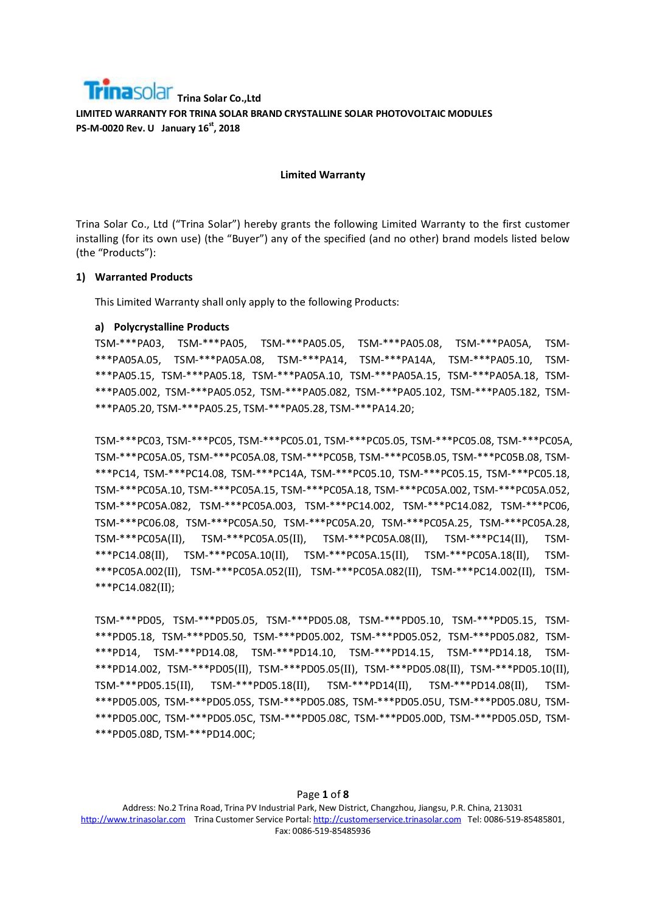#### **Limited Warranty**

Trina Solar Co., Ltd ("Trina Solar") hereby grants the following Limited Warranty to the first customer installing (for its own use) (the "Buyer") any of the specified (and no other) brand models listed below (the "Products"):

#### **1) Warranted Products**

This Limited Warranty shall only apply to the following Products:

#### **a) Polycrystalline Products**

TSM-\*\*\*PA03, TSM-\*\*\*PA05, TSM-\*\*\*PA05.05, TSM-\*\*\*PA05.08, TSM-\*\*\*PA05A, TSM- \*\*\*PA05A.05, TSM-\*\*\*PA05A.08, TSM-\*\*\*PA14, TSM-\*\*\*PA14A, TSM-\*\*\*PA05.10, TSM- \*\*\*PA05.15, TSM-\*\*\*PA05.18, TSM-\*\*\*PA05A.10, TSM-\*\*\*PA05A.15, TSM-\*\*\*PA05A.18, TSM- \*\*\*PA05.002, TSM-\*\*\*PA05.052, TSM-\*\*\*PA05.082, TSM-\*\*\*PA05.102, TSM-\*\*\*PA05.182, TSM- \*\*\*PA05.20, TSM-\*\*\*PA05.25, TSM-\*\*\*PA05.28, TSM-\*\*\*PA14.20;

TSM-\*\*\*PC03, TSM-\*\*\*PC05, TSM-\*\*\*PC05.01, TSM-\*\*\*PC05.05, TSM-\*\*\*PC05.08, TSM-\*\*\*PC05A, TSM-\*\*\*PC05A.05, TSM-\*\*\*PC05A.08, TSM-\*\*\*PC05B, TSM-\*\*\*PC05B.05, TSM-\*\*\*PC05B.08, TSM- \*\*\*PC14, TSM-\*\*\*PC14.08, TSM-\*\*\*PC14A, TSM-\*\*\*PC05.10, TSM-\*\*\*PC05.15, TSM-\*\*\*PC05.18, TSM-\*\*\*PC05A.10, TSM-\*\*\*PC05A.15, TSM-\*\*\*PC05A.18, TSM-\*\*\*PC05A.002, TSM-\*\*\*PC05A.052, TSM-\*\*\*PC05A.082, TSM-\*\*\*PC05A.003, TSM-\*\*\*PC14.002, TSM-\*\*\*PC14.082, TSM-\*\*\*PC06, TSM-\*\*\*PC06.08, TSM-\*\*\*PC05A.50, TSM-\*\*\*PC05A.20, TSM-\*\*\*PC05A.25, TSM-\*\*\*PC05A.28, TSM-\*\*\*PC05A(II), TSM-\*\*\*PC05A.05(II), TSM-\*\*\*PC05A.08(II), TSM-\*\*\*PC14(II), TSM- \*\*\*PC14.08(II), TSM-\*\*\*PC05A.10(II), TSM-\*\*\*PC05A.15(II), TSM-\*\*\*PC05A.18(II), TSM- \*\*\*PC05A.002(II), TSM-\*\*\*PC05A.052(II), TSM-\*\*\*PC05A.082(II), TSM-\*\*\*PC14.002(II), TSM- \*\*\*PC14.082(II);

TSM-\*\*\*PD05, TSM-\*\*\*PD05.05, TSM-\*\*\*PD05.08, TSM-\*\*\*PD05.10, TSM-\*\*\*PD05.15, TSM- \*\*\*PD05.18, TSM-\*\*\*PD05.50, TSM-\*\*\*PD05.002, TSM-\*\*\*PD05.052, TSM-\*\*\*PD05.082, TSM- \*\*\*PD14, TSM-\*\*\*PD14.08, TSM-\*\*\*PD14.10, TSM-\*\*\*PD14.15, TSM-\*\*\*PD14.18, TSM- \*\*\*PD14.002, TSM-\*\*\*PD05(II), TSM-\*\*\*PD05.05(II), TSM-\*\*\*PD05.08(II), TSM-\*\*\*PD05.10(II), TSM-\*\*\*PD05.15(II), TSM-\*\*\*PD05.18(II), TSM-\*\*\*PD14(II), TSM-\*\*\*PD14.08(II), TSM- \*\*\*PD05.00S, TSM-\*\*\*PD05.05S, TSM-\*\*\*PD05.08S, TSM-\*\*\*PD05.05U, TSM-\*\*\*PD05.08U, TSM- \*\*\*PD05.00C, TSM-\*\*\*PD05.05C, TSM-\*\*\*PD05.08C, TSM-\*\*\*PD05.00D, TSM-\*\*\*PD05.05D, TSM- \*\*\*PD05.08D, TSM-\*\*\*PD14.00C;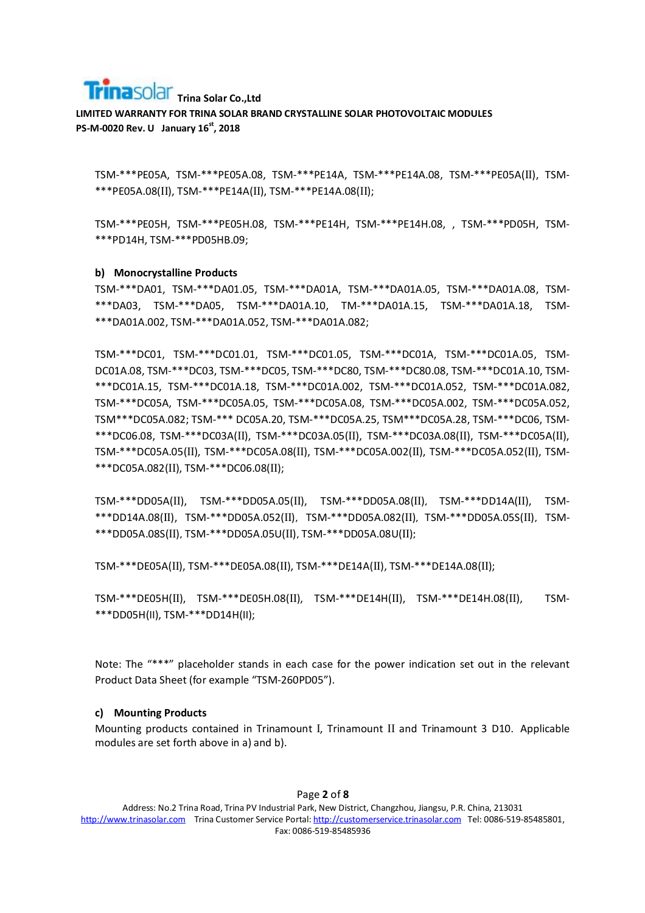# **Trina Solar Trina Solar Co., Ltd**

**LIMITED WARRANTY FOR TRINA SOLAR BRAND CRYSTALLINE SOLAR PHOTOVOLTAIC MODULES PS-M-0020 Rev. U January 16st, 2018** 

TSM-\*\*\*PE05A, TSM-\*\*\*PE05A.08, TSM-\*\*\*PE14A, TSM-\*\*\*PE14A.08, TSM-\*\*\*PE05A(II), TSM- \*\*\*PE05A.08(II), TSM-\*\*\*PE14A(II), TSM-\*\*\*PE14A.08(II);

TSM-\*\*\*PE05H, TSM-\*\*\*PE05H.08, TSM-\*\*\*PE14H, TSM-\*\*\*PE14H.08, , TSM-\*\*\*PD05H, TSM- \*\*\*PD14H, TSM-\*\*\*PD05HB.09;

#### **b) Monocrystalline Products**

TSM-\*\*\*DA01, TSM-\*\*\*DA01.05, TSM-\*\*\*DA01A, TSM-\*\*\*DA01A.05, TSM-\*\*\*DA01A.08, TSM- \*\*\*DA03, TSM-\*\*\*DA05, TSM-\*\*\*DA01A.10, TM-\*\*\*DA01A.15, TSM-\*\*\*DA01A.18, TSM- \*\*\*DA01A.002, TSM-\*\*\*DA01A.052, TSM-\*\*\*DA01A.082;

TSM-\*\*\*DC01, TSM-\*\*\*DC01.01, TSM-\*\*\*DC01.05, TSM-\*\*\*DC01A, TSM-\*\*\*DC01A.05, TSM-DC01A.08, TSM-\*\*\*DC03, TSM-\*\*\*DC05, TSM-\*\*\*DC80, TSM-\*\*\*DC80.08, TSM-\*\*\*DC01A.10, TSM- \*\*\*DC01A.15, TSM-\*\*\*DC01A.18, TSM-\*\*\*DC01A.002, TSM-\*\*\*DC01A.052, TSM-\*\*\*DC01A.082, TSM-\*\*\*DC05A, TSM-\*\*\*DC05A.05, TSM-\*\*\*DC05A.08, TSM-\*\*\*DC05A.002, TSM-\*\*\*DC05A.052, TSM\*\*\*DC05A.082; TSM-\*\*\* DC05A.20, TSM-\*\*\*DC05A.25, TSM\*\*\*DC05A.28, TSM-\*\*\*DC06, TSM- \*\*\*DC06.08, TSM-\*\*\*DC03A(II), TSM-\*\*\*DC03A.05(II), TSM-\*\*\*DC03A.08(II), TSM-\*\*\*DC05A(II), TSM-\*\*\*DC05A.05(II), TSM-\*\*\*DC05A.08(II), TSM-\*\*\*DC05A.002(II), TSM-\*\*\*DC05A.052(II), TSM- \*\*\*DC05A.082(II), TSM-\*\*\*DC06.08(II);

TSM-\*\*\*DD05A(II), TSM-\*\*\*DD05A.05(II), TSM-\*\*\*DD05A.08(II)**,** TSM-\*\*\*DD14A(II), TSM- \*\*\*DD14A.08(II), TSM-\*\*\*DD05A.052(II)**,** TSM-\*\*\*DD05A.082(II)**,** TSM-\*\*\*DD05A.05S(II)**,** TSM- \*\*\*DD05A.08S(II)**,** TSM-\*\*\*DD05A.05U(II)**,** TSM-\*\*\*DD05A.08U(II)**;** 

TSM-\*\*\*DE05A(II), TSM-\*\*\*DE05A.08(II), TSM-\*\*\*DE14A(II), TSM-\*\*\*DE14A.08(II);

TSM-\*\*\*DE05H(II), TSM-\*\*\*DE05H.08(II), TSM-\*\*\*DE14H(II), TSM-\*\*\*DE14H.08(II), TSM- \*\*\*DD05H(II), TSM-\*\*\*DD14H(II);

Note: The "\*\*\*" placeholder stands in each case for the power indication set out in the relevant Product Data Sheet (for example "TSM-260PD05").

#### **c) Mounting Products**

Mounting products contained in Trinamount I, Trinamount II and Trinamount 3 D10. Applicable modules are set forth above in a) and b).

#### Page **2** of **8**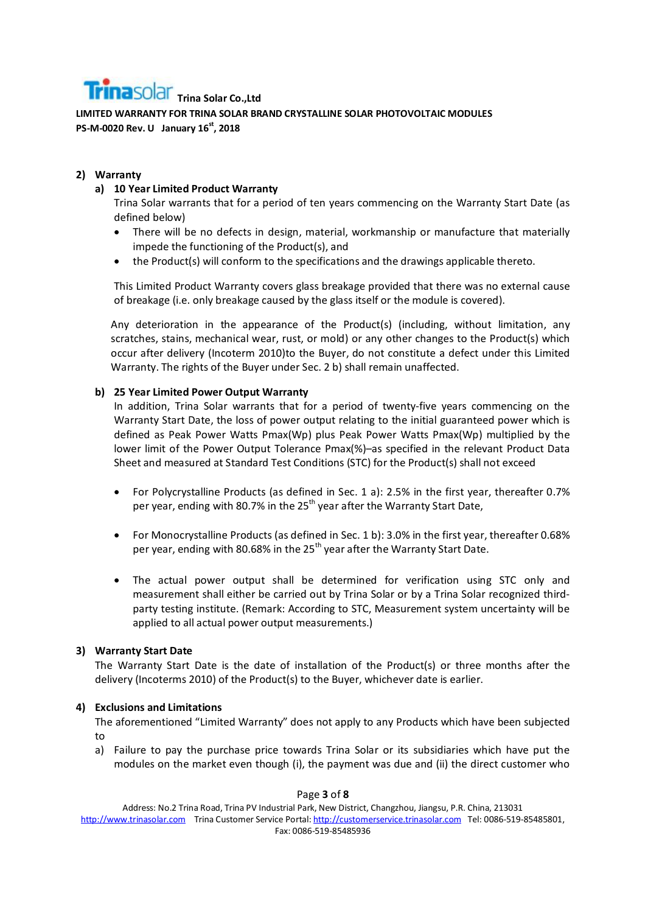# **Trina Solar Trina Solar Co., Ltd**

**LIMITED WARRANTY FOR TRINA SOLAR BRAND CRYSTALLINE SOLAR PHOTOVOLTAIC MODULES PS-M-0020 Rev. U January 16st, 2018** 

# **2) Warranty**

# **a) 10 Year Limited Product Warranty**

Trina Solar warrants that for a period of ten years commencing on the Warranty Start Date (as defined below)

- There will be no defects in design, material, workmanship or manufacture that materially impede the functioning of the Product(s), and
- the Product(s) will conform to the specifications and the drawings applicable thereto.

This Limited Product Warranty covers glass breakage provided that there was no external cause of breakage (i.e. only breakage caused by the glass itself or the module is covered).

Any deterioration in the appearance of the Product(s) (including, without limitation, any scratches, stains, mechanical wear, rust, or mold) or any other changes to the Product(s) which occur after delivery (Incoterm 2010)to the Buyer, do not constitute a defect under this Limited Warranty. The rights of the Buyer under Sec. 2 b) shall remain unaffected.

# **b) 25 Year Limited Power Output Warranty**

In addition, Trina Solar warrants that for a period of twenty-five years commencing on the Warranty Start Date, the loss of power output relating to the initial guaranteed power which is defined as Peak Power Watts Pmax(Wp) plus Peak Power Watts Pmax(Wp) multiplied by the lower limit of the Power Output Tolerance Pmax(%)–as specified in the relevant Product Data Sheet and measured at Standard Test Conditions (STC) for the Product(s) shall not exceed

- For Polycrystalline Products (as defined in Sec. 1 a): 2.5% in the first year, thereafter 0.7% per year, ending with 80.7% in the  $25<sup>th</sup>$  year after the Warranty Start Date,
- For Monocrystalline Products (as defined in Sec. 1 b): 3.0% in the first year, thereafter 0.68% per year, ending with 80.68% in the 25<sup>th</sup> year after the Warranty Start Date.
- The actual power output shall be determined for verification using STC only and measurement shall either be carried out by Trina Solar or by a Trina Solar recognized thirdparty testing institute. (Remark: According to STC, Measurement system uncertainty will be applied to all actual power output measurements.)

## **3) Warranty Start Date**

The Warranty Start Date is the date of installation of the Product(s) or three months after the delivery (Incoterms 2010) of the Product(s) to the Buyer, whichever date is earlier.

## **4) Exclusions and Limitations**

The aforementioned "Limited Warranty" does not apply to any Products which have been subjected to

a) Failure to pay the purchase price towards Trina Solar or its subsidiaries which have put the modules on the market even though (i), the payment was due and (ii) the direct customer who

Address: No.2 Trina Road, Trina PV Industrial Park, New District, Changzhou, Jiangsu, P.R. China, 213031 http://www.trinasolar.com Trina Customer Service Portal: http://customerservice.trinasolar.com Tel: 0086-519-85485801, Fax: 0086-519-85485936

Page **3** of **8**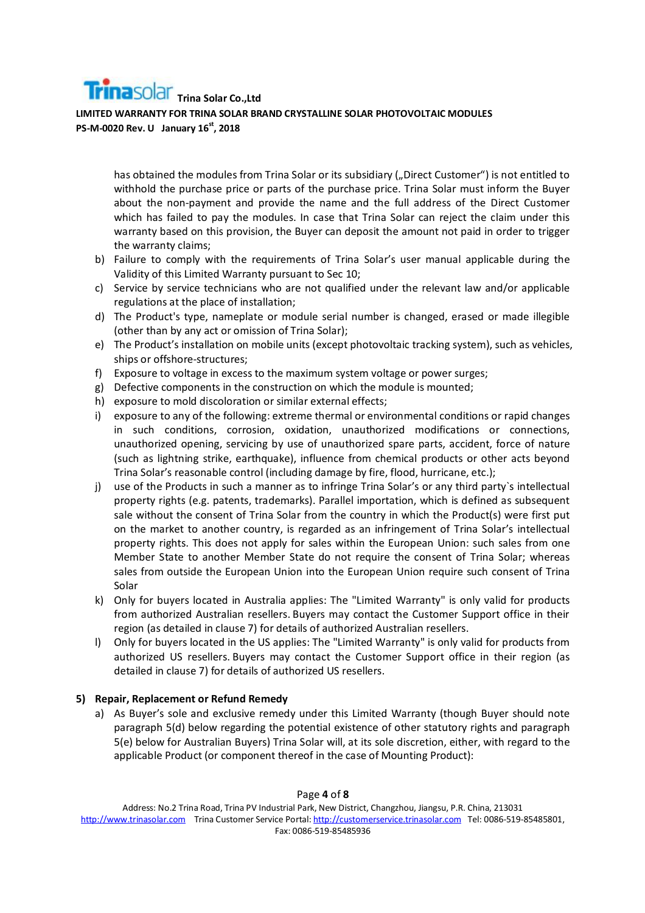has obtained the modules from Trina Solar or its subsidiary ("Direct Customer") is not entitled to withhold the purchase price or parts of the purchase price. Trina Solar must inform the Buyer about the non-payment and provide the name and the full address of the Direct Customer which has failed to pay the modules. In case that Trina Solar can reject the claim under this warranty based on this provision, the Buyer can deposit the amount not paid in order to trigger the warranty claims;

- b) Failure to comply with the requirements of Trina Solar's user manual applicable during the Validity of this Limited Warranty pursuant to Sec 10;
- c) Service by service technicians who are not qualified under the relevant law and/or applicable regulations at the place of installation;
- d) The Product's type, nameplate or module serial number is changed, erased or made illegible (other than by any act or omission of Trina Solar);
- e) The Product's installation on mobile units (except photovoltaic tracking system), such as vehicles, ships or offshore-structures;
- f) Exposure to voltage in excess to the maximum system voltage or power surges;
- g) Defective components in the construction on which the module is mounted;
- h) exposure to mold discoloration or similar external effects;
- i) exposure to any of the following: extreme thermal or environmental conditions or rapid changes in such conditions, corrosion, oxidation, unauthorized modifications or connections, unauthorized opening, servicing by use of unauthorized spare parts, accident, force of nature (such as lightning strike, earthquake), influence from chemical products or other acts beyond Trina Solar's reasonable control (including damage by fire, flood, hurricane, etc.);
- j) use of the Products in such a manner as to infringe Trina Solar's or any third party's intellectual property rights (e.g. patents, trademarks). Parallel importation, which is defined as subsequent sale without the consent of Trina Solar from the country in which the Product(s) were first put on the market to another country, is regarded as an infringement of Trina Solar's intellectual property rights. This does not apply for sales within the European Union: such sales from one Member State to another Member State do not require the consent of Trina Solar; whereas sales from outside the European Union into the European Union require such consent of Trina Solar
- k) Only for buyers located in Australia applies: The "Limited Warranty" is only valid for products from authorized Australian resellers. Buyers may contact the Customer Support office in their region (as detailed in clause 7) for details of authorized Australian resellers.
- l) Only for buyers located in the US applies: The "Limited Warranty" is only valid for products from authorized US resellers. Buyers may contact the Customer Support office in their region (as detailed in clause 7) for details of authorized US resellers.

## **5) Repair, Replacement or Refund Remedy**

a) As Buyer's sole and exclusive remedy under this Limited Warranty (though Buyer should note paragraph 5(d) below regarding the potential existence of other statutory rights and paragraph 5(e) below for Australian Buyers) Trina Solar will, at its sole discretion, either, with regard to the applicable Product (or component thereof in the case of Mounting Product):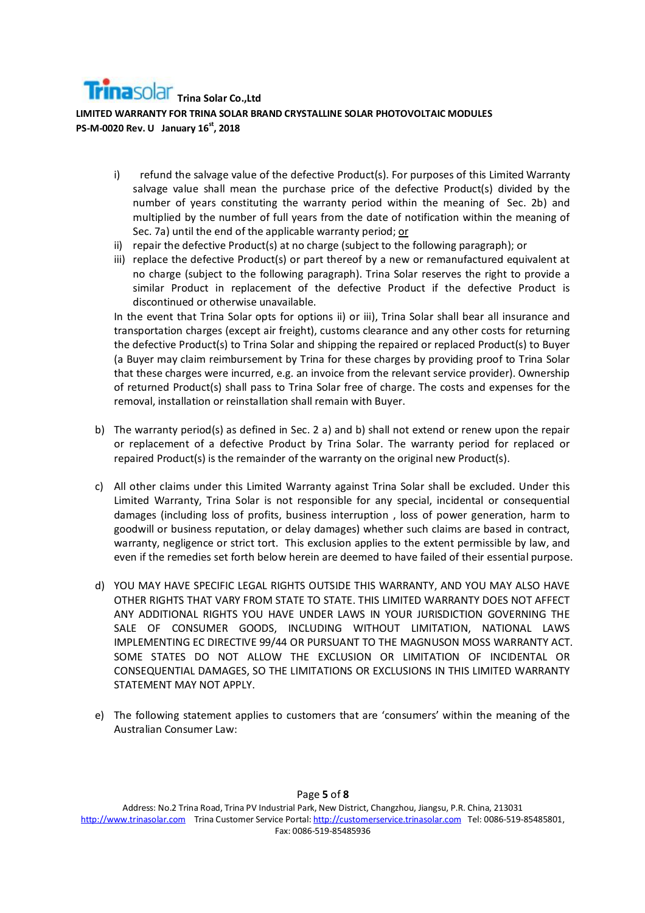

- i) refund the salvage value of the defective Product(s). For purposes of this Limited Warranty salvage value shall mean the purchase price of the defective Product(s) divided by the number of years constituting the warranty period within the meaning of Sec. 2b) and multiplied by the number of full years from the date of notification within the meaning of Sec. 7a) until the end of the applicable warranty period; or
- ii) repair the defective Product(s) at no charge (subject to the following paragraph); or
- iii) replace the defective Product(s) or part thereof by a new or remanufactured equivalent at no charge (subject to the following paragraph). Trina Solar reserves the right to provide a similar Product in replacement of the defective Product if the defective Product is discontinued or otherwise unavailable.

In the event that Trina Solar opts for options ii) or iii), Trina Solar shall bear all insurance and transportation charges (except air freight), customs clearance and any other costs for returning the defective Product(s) to Trina Solar and shipping the repaired or replaced Product(s) to Buyer (a Buyer may claim reimbursement by Trina for these charges by providing proof to Trina Solar that these charges were incurred, e.g. an invoice from the relevant service provider). Ownership of returned Product(s) shall pass to Trina Solar free of charge. The costs and expenses for the removal, installation or reinstallation shall remain with Buyer.

- b) The warranty period(s) as defined in Sec. 2 a) and b) shall not extend or renew upon the repair or replacement of a defective Product by Trina Solar. The warranty period for replaced or repaired Product(s) is the remainder of the warranty on the original new Product(s).
- c) All other claims under this Limited Warranty against Trina Solar shall be excluded. Under this Limited Warranty, Trina Solar is not responsible for any special, incidental or consequential damages (including loss of profits, business interruption , loss of power generation, harm to goodwill or business reputation, or delay damages) whether such claims are based in contract, warranty, negligence or strict tort. This exclusion applies to the extent permissible by law, and even if the remedies set forth below herein are deemed to have failed of their essential purpose.
- d) YOU MAY HAVE SPECIFIC LEGAL RIGHTS OUTSIDE THIS WARRANTY, AND YOU MAY ALSO HAVE OTHER RIGHTS THAT VARY FROM STATE TO STATE. THIS LIMITED WARRANTY DOES NOT AFFECT ANY ADDITIONAL RIGHTS YOU HAVE UNDER LAWS IN YOUR JURISDICTION GOVERNING THE SALE OF CONSUMER GOODS, INCLUDING WITHOUT LIMITATION, NATIONAL LAWS IMPLEMENTING EC DIRECTIVE 99/44 OR PURSUANT TO THE MAGNUSON MOSS WARRANTY ACT. SOME STATES DO NOT ALLOW THE EXCLUSION OR LIMITATION OF INCIDENTAL OR CONSEQUENTIAL DAMAGES, SO THE LIMITATIONS OR EXCLUSIONS IN THIS LIMITED WARRANTY STATEMENT MAY NOT APPLY.
- e) The following statement applies to customers that are 'consumers' within the meaning of the Australian Consumer Law: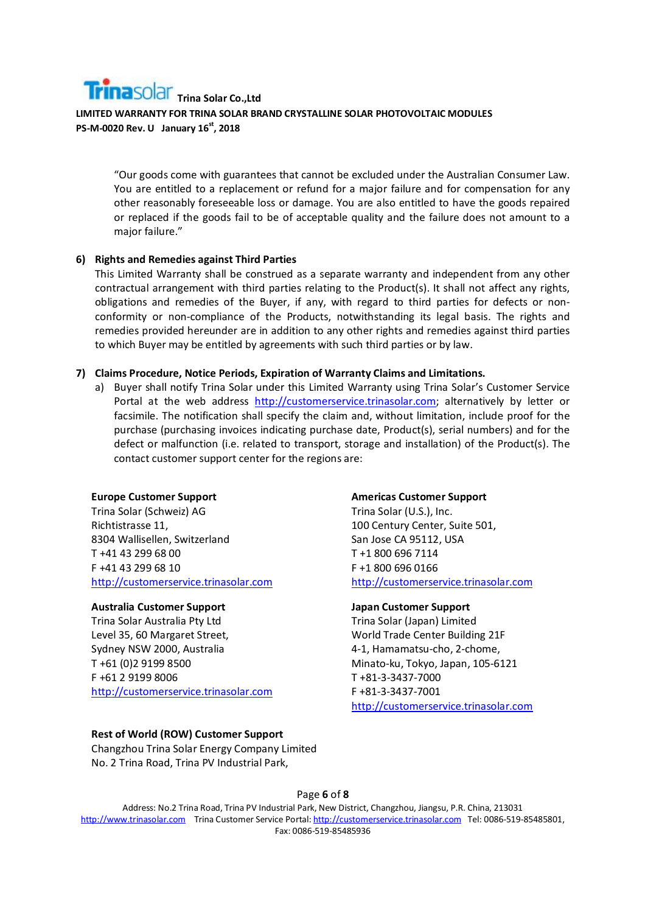"Our goods come with guarantees that cannot be excluded under the Australian Consumer Law. You are entitled to a replacement or refund for a major failure and for compensation for any other reasonably foreseeable loss or damage. You are also entitled to have the goods repaired or replaced if the goods fail to be of acceptable quality and the failure does not amount to a major failure."

## **6) Rights and Remedies against Third Parties**

This Limited Warranty shall be construed as a separate warranty and independent from any other contractual arrangement with third parties relating to the Product(s). It shall not affect any rights, obligations and remedies of the Buyer, if any, with regard to third parties for defects or nonconformity or non-compliance of the Products, notwithstanding its legal basis. The rights and remedies provided hereunder are in addition to any other rights and remedies against third parties to which Buyer may be entitled by agreements with such third parties or by law.

## **7) Claims Procedure, Notice Periods, Expiration of Warranty Claims and Limitations.**

a) Buyer shall notify Trina Solar under this Limited Warranty using Trina Solar's Customer Service Portal at the web address http://customerservice.trinasolar.com; alternatively by letter or facsimile. The notification shall specify the claim and, without limitation, include proof for the purchase (purchasing invoices indicating purchase date, Product(s), serial numbers) and for the defect or malfunction (i.e. related to transport, storage and installation) of the Product(s). The contact customer support center for the regions are:

## **Europe Customer Support**

Trina Solar (Schweiz) AG Richtistrasse 11, 8304 Wallisellen, Switzerland T +41 43 299 68 00 F +41 43 299 68 10 http://customerservice.trinasolar.com

## **Australia Customer Support**

Trina Solar Australia Pty Ltd Level 35, 60 Margaret Street, Sydney NSW 2000, Australia T +61 (0)2 9199 8500 F +61 2 9199 8006 http://customerservice.trinasolar.com

## **Rest of World (ROW) Customer Support**

Changzhou Trina Solar Energy Company Limited No. 2 Trina Road, Trina PV Industrial Park,

#### **Americas Customer Support**

Trina Solar (U.S.), Inc. 100 Century Center, Suite 501, San Jose CA 95112, USA T +1 800 696 7114 F +1 800 696 0166 http://customerservice.trinasolar.com

## **Japan Customer Support**

Trina Solar (Japan) Limited World Trade Center Building 21F 4-1, Hamamatsu-cho, 2-chome, Minato-ku, Tokyo, Japan, 105-6121 T +81-3-3437-7000 F +81-3-3437-7001 http://customerservice.trinasolar.com

Page **6** of **8**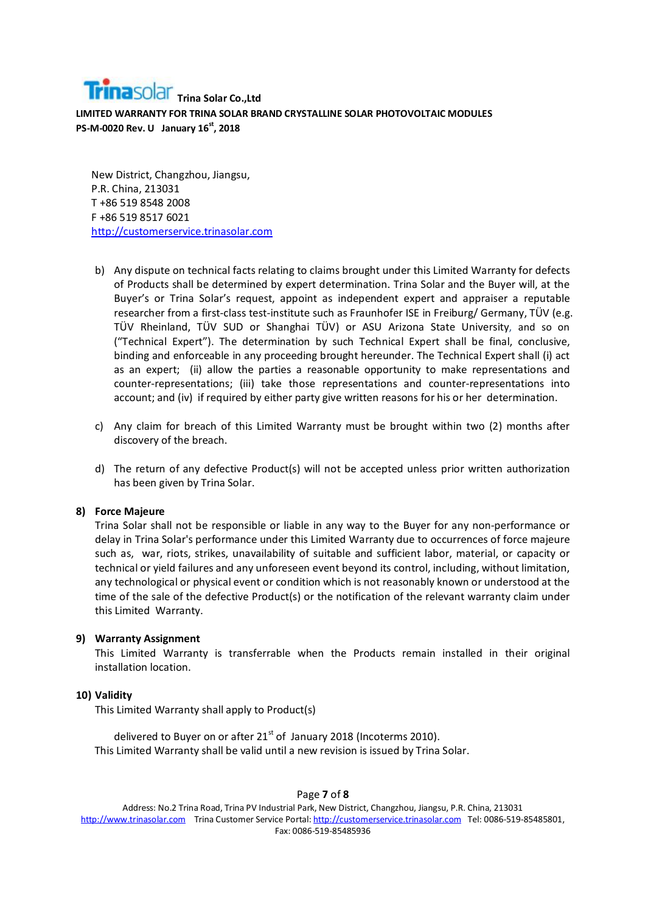New District, Changzhou, Jiangsu, P.R. China, 213031 T +86 519 8548 2008 F +86 519 8517 6021 http://customerservice.trinasolar.com

- b) Any dispute on technical facts relating to claims brought under this Limited Warranty for defects of Products shall be determined by expert determination. Trina Solar and the Buyer will, at the Buyer's or Trina Solar's request, appoint as independent expert and appraiser a reputable researcher from a first-class test-institute such as Fraunhofer ISE in Freiburg/ Germany, TÜV (e.g. TÜV Rheinland, TÜV SUD or Shanghai TÜV) or ASU Arizona State University, and so on ("Technical Expert"). The determination by such Technical Expert shall be final, conclusive, binding and enforceable in any proceeding brought hereunder. The Technical Expert shall (i) act as an expert; (ii) allow the parties a reasonable opportunity to make representations and counter-representations; (iii) take those representations and counter-representations into account; and (iv) if required by either party give written reasons for his or her determination.
- c) Any claim for breach of this Limited Warranty must be brought within two (2) months after discovery of the breach.
- d) The return of any defective Product(s) will not be accepted unless prior written authorization has been given by Trina Solar.

#### **8) Force Majeure**

Trina Solar shall not be responsible or liable in any way to the Buyer for any non-performance or delay in Trina Solar's performance under this Limited Warranty due to occurrences of force majeure such as, war, riots, strikes, unavailability of suitable and sufficient labor, material, or capacity or technical or yield failures and any unforeseen event beyond its control, including, without limitation, any technological or physical event or condition which is not reasonably known or understood at the time of the sale of the defective Product(s) or the notification of the relevant warranty claim under this Limited Warranty.

#### **9) Warranty Assignment**

This Limited Warranty is transferrable when the Products remain installed in their original installation location.

#### **10) Validity**

This Limited Warranty shall apply to Product(s)

delivered to Buyer on or after  $21<sup>st</sup>$  of January 2018 (Incoterms 2010). This Limited Warranty shall be valid until a new revision is issued by Trina Solar.

Page **7** of **8** Address: No.2 Trina Road, Trina PV Industrial Park, New District, Changzhou, Jiangsu, P.R. China, 213031 http://www.trinasolar.com Trina Customer Service Portal: http://customerservice.trinasolar.com Tel: 0086-519-85485801, Fax: 0086-519-85485936